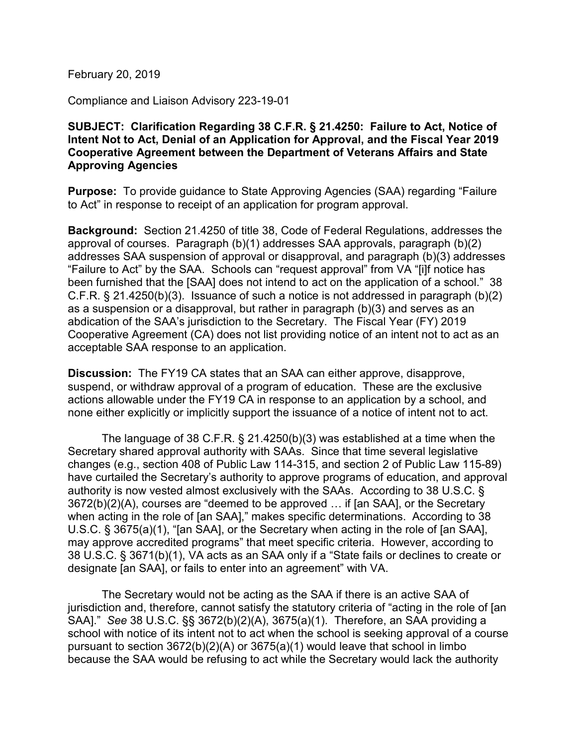February 20, 2019

Compliance and Liaison Advisory 223-19-01

## **SUBJECT: Clarification Regarding 38 C.F.R. § 21.4250: Failure to Act, Notice of Intent Not to Act, Denial of an Application for Approval, and the Fiscal Year 2019 Cooperative Agreement between the Department of Veterans Affairs and State Approving Agencies**

**Purpose:** To provide guidance to State Approving Agencies (SAA) regarding "Failure to Act" in response to receipt of an application for program approval.

**Background:** Section 21.4250 of title 38, Code of Federal Regulations, addresses the approval of courses. Paragraph (b)(1) addresses SAA approvals, paragraph (b)(2) addresses SAA suspension of approval or disapproval, and paragraph (b)(3) addresses "Failure to Act" by the SAA. Schools can "request approval" from VA "[i]f notice has been furnished that the [SAA] does not intend to act on the application of a school." 38 C.F.R. § 21.4250(b)(3). Issuance of such a notice is not addressed in paragraph (b)(2) as a suspension or a disapproval, but rather in paragraph (b)(3) and serves as an abdication of the SAA's jurisdiction to the Secretary. The Fiscal Year (FY) 2019 Cooperative Agreement (CA) does not list providing notice of an intent not to act as an acceptable SAA response to an application.

**Discussion:** The FY19 CA states that an SAA can either approve, disapprove, suspend, or withdraw approval of a program of education. These are the exclusive actions allowable under the FY19 CA in response to an application by a school, and none either explicitly or implicitly support the issuance of a notice of intent not to act.

The language of 38 C.F.R. § 21.4250(b)(3) was established at a time when the Secretary shared approval authority with SAAs. Since that time several legislative changes (e.g., section 408 of Public Law 114-315, and section 2 of Public Law 115-89) have curtailed the Secretary's authority to approve programs of education, and approval authority is now vested almost exclusively with the SAAs. According to 38 U.S.C. § 3672(b)(2)(A), courses are "deemed to be approved … if [an SAA], or the Secretary when acting in the role of [an SAA]," makes specific determinations. According to 38 U.S.C. § 3675(a)(1), "[an SAA], or the Secretary when acting in the role of [an SAA], may approve accredited programs" that meet specific criteria. However, according to 38 U.S.C. § 3671(b)(1), VA acts as an SAA only if a "State fails or declines to create or designate [an SAA], or fails to enter into an agreement" with VA.

The Secretary would not be acting as the SAA if there is an active SAA of jurisdiction and, therefore, cannot satisfy the statutory criteria of "acting in the role of [an SAA]." *See* 38 U.S.C. §§ 3672(b)(2)(A), 3675(a)(1). Therefore, an SAA providing a school with notice of its intent not to act when the school is seeking approval of a course pursuant to section 3672(b)(2)(A) or 3675(a)(1) would leave that school in limbo because the SAA would be refusing to act while the Secretary would lack the authority